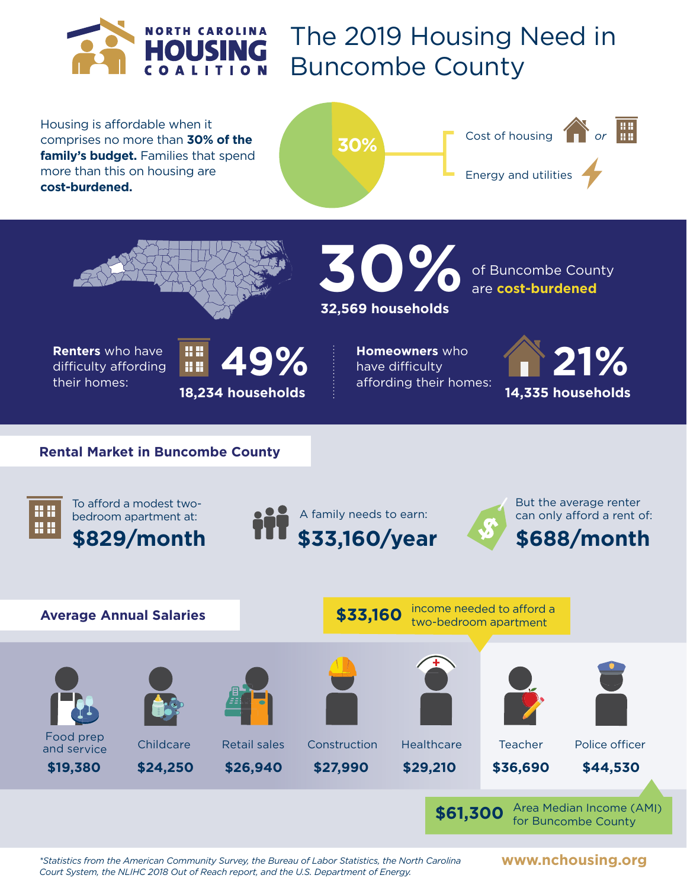

The 2019 Housing Need in Buncombe County

Housing is affordable when it comprises no more than **30% of the family's budget.** Families that spend more than this on housing are **cost-burdened.**







of Buncombe County **30%**are **cost-burdened 32,569 households**

**Renters** who have difficulty affording their homes:



**Homeowners** who have difficulty



## **Rental Market in Buncombe County**



To afford a modest twobedroom apartment at:







*\*Statistics from the American Community Survey, the Bureau of Labor Statistics, the North Carolina Court System, the NLIHC 2018 Out of Reach report, and the U.S. Department of Energy.*

**www.nchousing.org**